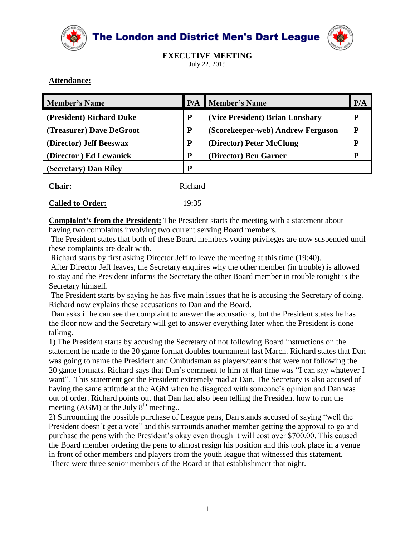

The London and District Men's Dart League



**EXECUTIVE MEETING** July 22, 2015

#### **Attendance:**

| <b>Member's Name</b>     |   | <b>P/A</b> Member's Name          | P/A |
|--------------------------|---|-----------------------------------|-----|
| (President) Richard Duke | P | (Vice President) Brian Lonsbary   | D   |
| (Treasurer) Dave DeGroot | P | (Scorekeeper-web) Andrew Ferguson |     |
| (Director) Jeff Beeswax  | P | (Director) Peter McClung          |     |
| (Director) Ed Lewanick   | P | (Director) Ben Garner             |     |
| (Secretary) Dan Riley    | P |                                   |     |

| Chair: | Richard |
|--------|---------|
|        |         |

#### **Called to Order:** 19:35

**Complaint's from the President:** The President starts the meeting with a statement about having two complaints involving two current serving Board members.

The President states that both of these Board members voting privileges are now suspended until these complaints are dealt with.

Richard starts by first asking Director Jeff to leave the meeting at this time (19:40).

After Director Jeff leaves, the Secretary enquires why the other member (in trouble) is allowed to stay and the President informs the Secretary the other Board member in trouble tonight is the Secretary himself.

The President starts by saying he has five main issues that he is accusing the Secretary of doing. Richard now explains these accusations to Dan and the Board.

Dan asks if he can see the complaint to answer the accusations, but the President states he has the floor now and the Secretary will get to answer everything later when the President is done talking.

1) The President starts by accusing the Secretary of not following Board instructions on the statement he made to the 20 game format doubles tournament last March. Richard states that Dan was going to name the President and Ombudsman as players/teams that were not following the 20 game formats. Richard says that Dan's comment to him at that time was "I can say whatever I want". This statement got the President extremely mad at Dan. The Secretary is also accused of having the same attitude at the AGM when he disagreed with someone's opinion and Dan was out of order. Richard points out that Dan had also been telling the President how to run the meeting (AGM) at the July  $8<sup>th</sup>$  meeting..

2) Surrounding the possible purchase of League pens, Dan stands accused of saying "well the President doesn't get a vote" and this surrounds another member getting the approval to go and purchase the pens with the President's okay even though it will cost over \$700.00. This caused the Board member ordering the pens to almost resign his position and this took place in a venue in front of other members and players from the youth league that witnessed this statement.

There were three senior members of the Board at that establishment that night.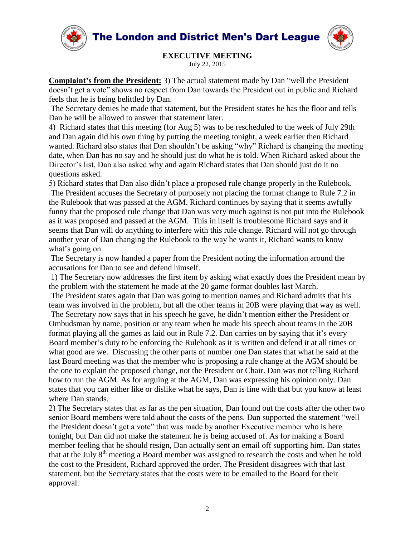The London and District Men's Dart League





# **EXECUTIVE MEETING**

July 22, 2015

**Complaint's from the President:** 3) The actual statement made by Dan "well the President doesn't get a vote" shows no respect from Dan towards the President out in public and Richard feels that he is being belittled by Dan.

The Secretary denies he made that statement, but the President states he has the floor and tells Dan he will be allowed to answer that statement later.

4) Richard states that this meeting (for Aug 5) was to be rescheduled to the week of July 29th and Dan again did his own thing by putting the meeting tonight, a week earlier then Richard wanted. Richard also states that Dan shouldn't be asking "why" Richard is changing the meeting date, when Dan has no say and he should just do what he is told. When Richard asked about the Director's list, Dan also asked why and again Richard states that Dan should just do it no questions asked.

5) Richard states that Dan also didn't place a proposed rule change properly in the Rulebook. The President accuses the Secretary of purposely not placing the format change to Rule 7.2 in the Rulebook that was passed at the AGM. Richard continues by saying that it seems awfully funny that the proposed rule change that Dan was very much against is not put into the Rulebook as it was proposed and passed at the AGM. This in itself is troublesome Richard says and it seems that Dan will do anything to interfere with this rule change. Richard will not go through another year of Dan changing the Rulebook to the way he wants it, Richard wants to know what's going on.

The Secretary is now handed a paper from the President noting the information around the accusations for Dan to see and defend himself.

1) The Secretary now addresses the first item by asking what exactly does the President mean by the problem with the statement he made at the 20 game format doubles last March.

The President states again that Dan was going to mention names and Richard admits that his team was involved in the problem, but all the other teams in 20B were playing that way as well.

The Secretary now says that in his speech he gave, he didn't mention either the President or Ombudsman by name, position or any team when he made his speech about teams in the 20B format playing all the games as laid out in Rule 7.2. Dan carries on by saying that it's every Board member's duty to be enforcing the Rulebook as it is written and defend it at all times or what good are we. Discussing the other parts of number one Dan states that what he said at the last Board meeting was that the member who is proposing a rule change at the AGM should be the one to explain the proposed change, not the President or Chair. Dan was not telling Richard how to run the AGM. As for arguing at the AGM, Dan was expressing his opinion only. Dan states that you can either like or dislike what he says, Dan is fine with that but you know at least where Dan stands.

2) The Secretary states that as far as the pen situation, Dan found out the costs after the other two senior Board members were told about the costs of the pens. Dan supported the statement "well the President doesn't get a vote" that was made by another Executive member who is here tonight, but Dan did not make the statement he is being accused of. As for making a Board member feeling that he should resign, Dan actually sent an email off supporting him. Dan states that at the July  $8<sup>th</sup>$  meeting a Board member was assigned to research the costs and when he told the cost to the President, Richard approved the order. The President disagrees with that last statement, but the Secretary states that the costs were to be emailed to the Board for their approval.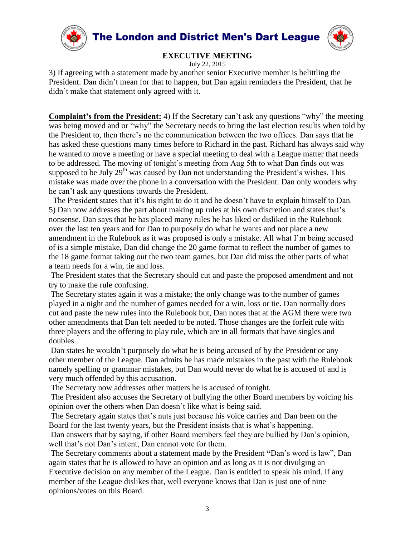

July 22, 2015

3) If agreeing with a statement made by another senior Executive member is belittling the President. Dan didn't mean for that to happen, but Dan again reminders the President, that he didn't make that statement only agreed with it.

**Complaint's from the President:** 4) If the Secretary can't ask any questions "why" the meeting was being moved and or "why" the Secretary needs to bring the last election results when told by the President to, then there's no the communication between the two offices. Dan says that he has asked these questions many times before to Richard in the past. Richard has always said why he wanted to move a meeting or have a special meeting to deal with a League matter that needs to be addressed. The moving of tonight's meeting from Aug 5th to what Dan finds out was supposed to be July  $29<sup>th</sup>$  was caused by Dan not understanding the President's wishes. This mistake was made over the phone in a conversation with the President. Dan only wonders why he can't ask any questions towards the President.

The President states that it's his right to do it and he doesn't have to explain himself to Dan. 5) Dan now addresses the part about making up rules at his own discretion and states that's nonsense. Dan says that he has placed many rules he has liked or disliked in the Rulebook over the last ten years and for Dan to purposely do what he wants and not place a new amendment in the Rulebook as it was proposed is only a mistake. All what I'm being accused of is a simple mistake, Dan did change the 20 game format to reflect the number of games to the 18 game format taking out the two team games, but Dan did miss the other parts of what a team needs for a win, tie and loss.

The President states that the Secretary should cut and paste the proposed amendment and not try to make the rule confusing.

The Secretary states again it was a mistake; the only change was to the number of games played in a night and the number of games needed for a win, loss or tie. Dan normally does cut and paste the new rules into the Rulebook but, Dan notes that at the AGM there were two other amendments that Dan felt needed to be noted. Those changes are the forfeit rule with three players and the offering to play rule, which are in all formats that have singles and doubles.

Dan states he wouldn't purposely do what he is being accused of by the President or any other member of the League. Dan admits he has made mistakes in the past with the Rulebook namely spelling or grammar mistakes, but Dan would never do what he is accused of and is very much offended by this accusation.

The Secretary now addresses other matters he is accused of tonight.

The President also accuses the Secretary of bullying the other Board members by voicing his opinion over the others when Dan doesn't like what is being said.

The Secretary again states that's nuts just because his voice carries and Dan been on the Board for the last twenty years, but the President insists that is what's happening.

Dan answers that by saying, if other Board members feel they are bullied by Dan's opinion, well that's not Dan's intent, Dan cannot vote for them.

The Secretary comments about a statement made by the President **"**Dan's word is law", Dan again states that he is allowed to have an opinion and as long as it is not divulging an Executive decision on any member of the League. Dan is entitled to speak his mind. If any member of the League dislikes that, well everyone knows that Dan is just one of nine opinions/votes on this Board.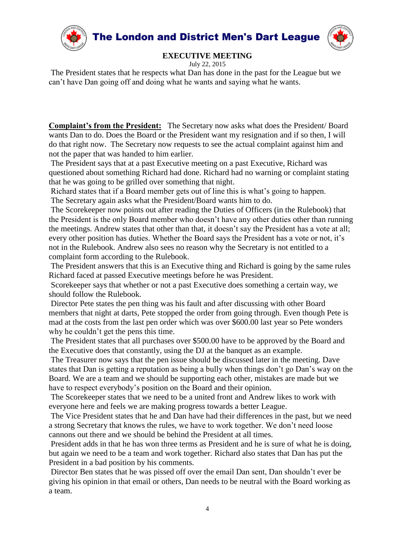

July 22, 2015

The President states that he respects what Dan has done in the past for the League but we can't have Dan going off and doing what he wants and saying what he wants.

**Complaint's from the President:** The Secretary now asks what does the President/ Board wants Dan to do. Does the Board or the President want my resignation and if so then, I will do that right now. The Secretary now requests to see the actual complaint against him and not the paper that was handed to him earlier.

The President says that at a past Executive meeting on a past Executive, Richard was questioned about something Richard had done. Richard had no warning or complaint stating that he was going to be grilled over something that night.

Richard states that if a Board member gets out of line this is what's going to happen.

The Secretary again asks what the President/Board wants him to do.

The Scorekeeper now points out after reading the Duties of Officers (in the Rulebook) that the President is the only Board member who doesn't have any other duties other than running the meetings. Andrew states that other than that, it doesn't say the President has a vote at all; every other position has duties. Whether the Board says the President has a vote or not, it's not in the Rulebook. Andrew also sees no reason why the Secretary is not entitled to a complaint form according to the Rulebook.

The President answers that this is an Executive thing and Richard is going by the same rules Richard faced at passed Executive meetings before he was President.

Scorekeeper says that whether or not a past Executive does something a certain way, we should follow the Rulebook.

Director Pete states the pen thing was his fault and after discussing with other Board members that night at darts, Pete stopped the order from going through. Even though Pete is mad at the costs from the last pen order which was over \$600.00 last year so Pete wonders why he couldn't get the pens this time.

The President states that all purchases over \$500.00 have to be approved by the Board and the Executive does that constantly, using the DJ at the banquet as an example.

The Treasurer now says that the pen issue should be discussed later in the meeting. Dave states that Dan is getting a reputation as being a bully when things don't go Dan's way on the Board. We are a team and we should be supporting each other, mistakes are made but we have to respect everybody's position on the Board and their opinion.

The Scorekeeper states that we need to be a united front and Andrew likes to work with everyone here and feels we are making progress towards a better League.

The Vice President states that he and Dan have had their differences in the past, but we need a strong Secretary that knows the rules, we have to work together. We don't need loose cannons out there and we should be behind the President at all times.

President adds in that he has won three terms as President and he is sure of what he is doing, but again we need to be a team and work together. Richard also states that Dan has put the President in a bad position by his comments.

Director Ben states that he was pissed off over the email Dan sent, Dan shouldn't ever be giving his opinion in that email or others, Dan needs to be neutral with the Board working as a team.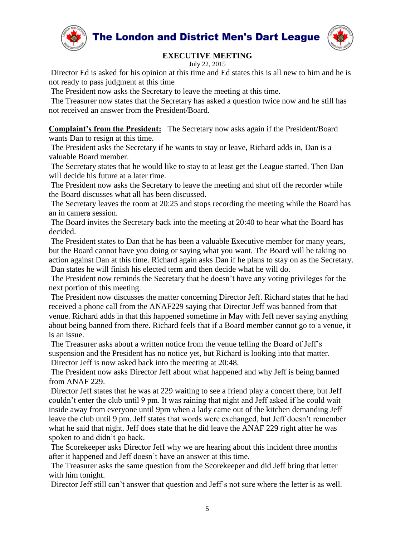

The London and District Men's Dart League



# **EXECUTIVE MEETING**

July 22, 2015

Director Ed is asked for his opinion at this time and Ed states this is all new to him and he is not ready to pass judgment at this time

The President now asks the Secretary to leave the meeting at this time.

The Treasurer now states that the Secretary has asked a question twice now and he still has not received an answer from the President/Board.

**Complaint's from the President:** The Secretary now asks again if the President/Board wants Dan to resign at this time.

The President asks the Secretary if he wants to stay or leave, Richard adds in, Dan is a valuable Board member.

The Secretary states that he would like to stay to at least get the League started. Then Dan will decide his future at a later time.

The President now asks the Secretary to leave the meeting and shut off the recorder while the Board discusses what all has been discussed.

The Secretary leaves the room at 20:25 and stops recording the meeting while the Board has an in camera session.

The Board invites the Secretary back into the meeting at 20:40 to hear what the Board has decided.

The President states to Dan that he has been a valuable Executive member for many years, but the Board cannot have you doing or saying what you want. The Board will be taking no action against Dan at this time. Richard again asks Dan if he plans to stay on as the Secretary. Dan states he will finish his elected term and then decide what he will do.

The President now reminds the Secretary that he doesn't have any voting privileges for the next portion of this meeting.

The President now discusses the matter concerning Director Jeff. Richard states that he had received a phone call from the ANAF229 saying that Director Jeff was banned from that venue. Richard adds in that this happened sometime in May with Jeff never saying anything about being banned from there. Richard feels that if a Board member cannot go to a venue, it is an issue.

The Treasurer asks about a written notice from the venue telling the Board of Jeff's suspension and the President has no notice yet, but Richard is looking into that matter. Director Jeff is now asked back into the meeting at 20:48.

The President now asks Director Jeff about what happened and why Jeff is being banned from ANAF 229.

Director Jeff states that he was at 229 waiting to see a friend play a concert there, but Jeff couldn't enter the club until 9 pm. It was raining that night and Jeff asked if he could wait inside away from everyone until 9pm when a lady came out of the kitchen demanding Jeff leave the club until 9 pm. Jeff states that words were exchanged, but Jeff doesn't remember what he said that night. Jeff does state that he did leave the ANAF 229 right after he was spoken to and didn't go back.

The Scorekeeper asks Director Jeff why we are hearing about this incident three months after it happened and Jeff doesn't have an answer at this time.

The Treasurer asks the same question from the Scorekeeper and did Jeff bring that letter with him tonight.

Director Jeff still can't answer that question and Jeff's not sure where the letter is as well.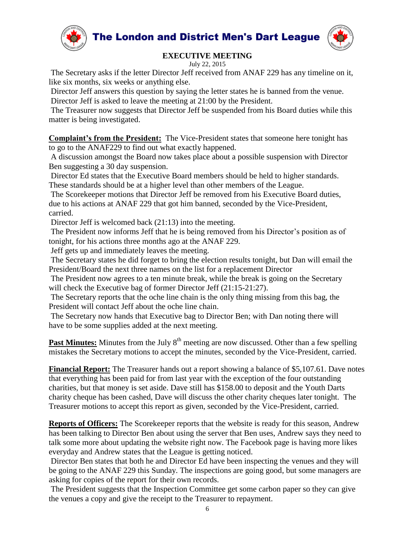



July 22, 2015

The Secretary asks if the letter Director Jeff received from ANAF 229 has any timeline on it, like six months, six weeks or anything else.

Director Jeff answers this question by saying the letter states he is banned from the venue. Director Jeff is asked to leave the meeting at 21:00 by the President.

The Treasurer now suggests that Director Jeff be suspended from his Board duties while this matter is being investigated.

**Complaint's from the President:** The Vice-President states that someone here tonight has to go to the ANAF229 to find out what exactly happened.

A discussion amongst the Board now takes place about a possible suspension with Director Ben suggesting a 30 day suspension.

Director Ed states that the Executive Board members should be held to higher standards. These standards should be at a higher level than other members of the League.

The Scorekeeper motions that Director Jeff be removed from his Executive Board duties, due to his actions at ANAF 229 that got him banned, seconded by the Vice-President, carried.

Director Jeff is welcomed back (21:13) into the meeting.

The President now informs Jeff that he is being removed from his Director's position as of tonight, for his actions three months ago at the ANAF 229.

Jeff gets up and immediately leaves the meeting.

The Secretary states he did forget to bring the election results tonight, but Dan will email the President/Board the next three names on the list for a replacement Director

The President now agrees to a ten minute break, while the break is going on the Secretary will check the Executive bag of former Director Jeff (21:15-21:27).

The Secretary reports that the oche line chain is the only thing missing from this bag, the President will contact Jeff about the oche line chain.

The Secretary now hands that Executive bag to Director Ben; with Dan noting there will have to be some supplies added at the next meeting.

**Past Minutes:** Minutes from the July 8<sup>th</sup> meeting are now discussed. Other than a few spelling mistakes the Secretary motions to accept the minutes, seconded by the Vice-President, carried.

**Financial Report:** The Treasurer hands out a report showing a balance of \$5,107.61. Dave notes that everything has been paid for from last year with the exception of the four outstanding charities, but that money is set aside. Dave still has \$158.00 to deposit and the Youth Darts charity cheque has been cashed, Dave will discuss the other charity cheques later tonight. The Treasurer motions to accept this report as given, seconded by the Vice-President, carried.

**Reports of Officers:** The Scorekeeper reports that the website is ready for this season, Andrew has been talking to Director Ben about using the server that Ben uses, Andrew says they need to talk some more about updating the website right now. The Facebook page is having more likes everyday and Andrew states that the League is getting noticed.

Director Ben states that both he and Director Ed have been inspecting the venues and they will be going to the ANAF 229 this Sunday. The inspections are going good, but some managers are asking for copies of the report for their own records.

The President suggests that the Inspection Committee get some carbon paper so they can give the venues a copy and give the receipt to the Treasurer to repayment.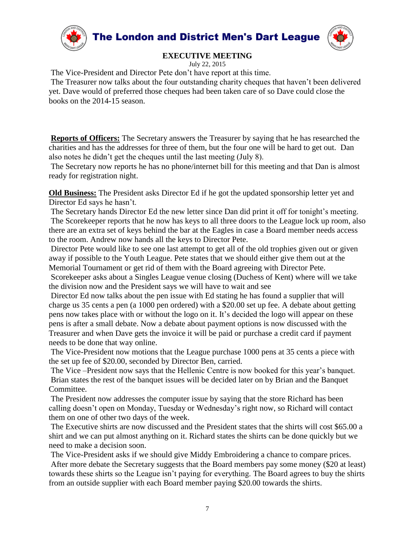

July 22, 2015

The Vice-President and Director Pete don't have report at this time.

The Treasurer now talks about the four outstanding charity cheques that haven't been delivered yet. Dave would of preferred those cheques had been taken care of so Dave could close the books on the 2014-15 season.

**Reports of Officers:** The Secretary answers the Treasurer by saying that he has researched the charities and has the addresses for three of them, but the four one will be hard to get out. Dan also notes he didn't get the cheques until the last meeting (July 8).

The Secretary now reports he has no phone/internet bill for this meeting and that Dan is almost ready for registration night.

**Old Business:** The President asks Director Ed if he got the updated sponsorship letter yet and Director Ed says he hasn't.

The Secretary hands Director Ed the new letter since Dan did print it off for tonight's meeting. The Scorekeeper reports that he now has keys to all three doors to the League lock up room, also there are an extra set of keys behind the bar at the Eagles in case a Board member needs access to the room. Andrew now hands all the keys to Director Pete.

Director Pete would like to see one last attempt to get all of the old trophies given out or given away if possible to the Youth League. Pete states that we should either give them out at the Memorial Tournament or get rid of them with the Board agreeing with Director Pete.

Scorekeeper asks about a Singles League venue closing (Duchess of Kent) where will we take the division now and the President says we will have to wait and see

Director Ed now talks about the pen issue with Ed stating he has found a supplier that will charge us 35 cents a pen (a 1000 pen ordered) with a \$20.00 set up fee. A debate about getting pens now takes place with or without the logo on it. It's decided the logo will appear on these pens is after a small debate. Now a debate about payment options is now discussed with the Treasurer and when Dave gets the invoice it will be paid or purchase a credit card if payment needs to be done that way online.

The Vice-President now motions that the League purchase 1000 pens at 35 cents a piece with the set up fee of \$20.00, seconded by Director Ben, carried.

The Vice –President now says that the Hellenic Centre is now booked for this year's banquet. Brian states the rest of the banquet issues will be decided later on by Brian and the Banquet Committee.

The President now addresses the computer issue by saying that the store Richard has been calling doesn't open on Monday, Tuesday or Wednesday's right now, so Richard will contact them on one of other two days of the week.

The Executive shirts are now discussed and the President states that the shirts will cost \$65.00 a shirt and we can put almost anything on it. Richard states the shirts can be done quickly but we need to make a decision soon.

The Vice-President asks if we should give Middy Embroidering a chance to compare prices. After more debate the Secretary suggests that the Board members pay some money (\$20 at least) towards these shirts so the League isn't paying for everything. The Board agrees to buy the shirts from an outside supplier with each Board member paying \$20.00 towards the shirts.